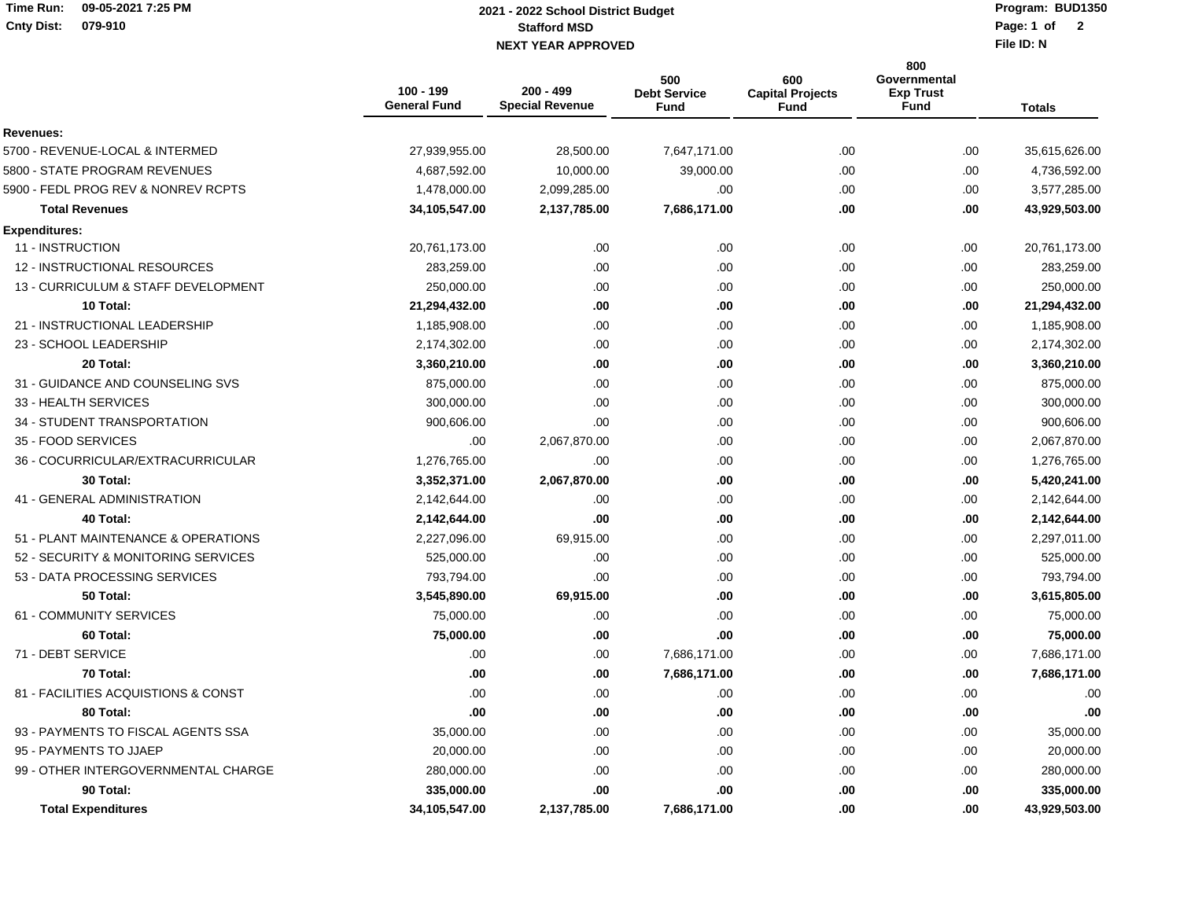## **Time Run: 09-05-2021 7:25 PMCnty Dist: 079-910**

## **Stafford MSD NEXT YEAR APPROVED Page: 1 of 2021 - 2022 School District Budget**

**Program: BUD1350**Page: 1 of 2

**File ID: N**

|                                     | 100 - 199<br><b>General Fund</b> | 200 - 499<br><b>Special Revenue</b> | 500<br><b>Debt Service</b><br><b>Fund</b> | 600<br><b>Capital Projects</b><br><b>Fund</b> | 800<br><b>Governmental</b><br><b>Exp Trust</b><br>Fund | <b>Totals</b> |
|-------------------------------------|----------------------------------|-------------------------------------|-------------------------------------------|-----------------------------------------------|--------------------------------------------------------|---------------|
| <b>Revenues:</b>                    |                                  |                                     |                                           |                                               |                                                        |               |
| 5700 - REVENUE-LOCAL & INTERMED     | 27,939,955.00                    | 28,500.00                           | 7,647,171.00                              | .00.                                          | .00.                                                   | 35,615,626.00 |
| 5800 - STATE PROGRAM REVENUES       | 4,687,592.00                     | 10,000.00                           | 39,000.00                                 | .00                                           | .00                                                    | 4,736,592.00  |
| 5900 - FEDL PROG REV & NONREV RCPTS | 1,478,000.00                     | 2,099,285.00                        | .00                                       | .00.                                          | .00.                                                   | 3,577,285.00  |
| <b>Total Revenues</b>               | 34,105,547.00                    | 2,137,785.00                        | 7,686,171.00                              | .00.                                          | .00.                                                   | 43,929,503.00 |
| <b>Expenditures:</b>                |                                  |                                     |                                           |                                               |                                                        |               |
| 11 - INSTRUCTION                    | 20,761,173.00                    | .00                                 | .00                                       | .00.                                          | .00                                                    | 20,761,173.00 |
| 12 - INSTRUCTIONAL RESOURCES        | 283,259.00                       | .00                                 | .00                                       | .00.                                          | .00                                                    | 283,259.00    |
| 13 - CURRICULUM & STAFF DEVELOPMENT | 250,000.00                       | .00.                                | .00                                       | .00.                                          | .00                                                    | 250,000.00    |
| 10 Total:                           | 21,294,432.00                    | .00                                 | .00                                       | .00                                           | .00.                                                   | 21,294,432.00 |
| 21 - INSTRUCTIONAL LEADERSHIP       | 1,185,908.00                     | .00.                                | .00.                                      | .00.                                          | .00                                                    | 1,185,908.00  |
| 23 - SCHOOL LEADERSHIP              | 2,174,302.00                     | .00                                 | .00                                       | .00                                           | .00                                                    | 2,174,302.00  |
| 20 Total:                           | 3,360,210.00                     | .00                                 | .00                                       | .00.                                          | .00                                                    | 3,360,210.00  |
| 31 - GUIDANCE AND COUNSELING SVS    | 875,000.00                       | .00.                                | .00                                       | .00.                                          | .00                                                    | 875,000.00    |
| 33 - HEALTH SERVICES                | 300,000.00                       | .00                                 | .00                                       | .00.                                          | .00                                                    | 300,000.00    |
| 34 - STUDENT TRANSPORTATION         | 900,606.00                       | .00                                 | .00                                       | .00                                           | .00                                                    | 900,606.00    |
| 35 - FOOD SERVICES                  | .00                              | 2,067,870.00                        | .00                                       | .00.                                          | .00                                                    | 2,067,870.00  |
| 36 - COCURRICULAR/EXTRACURRICULAR   | 1,276,765.00                     | .00                                 | .00                                       | .00.                                          | .00                                                    | 1,276,765.00  |
| 30 Total:                           | 3,352,371.00                     | 2,067,870.00                        | .00                                       | .00                                           | .00.                                                   | 5,420,241.00  |
| 41 - GENERAL ADMINISTRATION         | 2,142,644.00                     | .00                                 | .00                                       | .00                                           | .00                                                    | 2,142,644.00  |
| 40 Total:                           | 2,142,644.00                     | .00                                 | .00                                       | .00.                                          | .00                                                    | 2,142,644.00  |
| 51 - PLANT MAINTENANCE & OPERATIONS | 2,227,096.00                     | 69,915.00                           | .00.                                      | .00.                                          | .00                                                    | 2,297,011.00  |
| 52 - SECURITY & MONITORING SERVICES | 525,000.00                       | .00                                 | .00.                                      | .00.                                          | .00                                                    | 525,000.00    |
| 53 - DATA PROCESSING SERVICES       | 793,794.00                       | .00.                                | .00                                       | .00.                                          | .00                                                    | 793,794.00    |
| 50 Total:                           | 3,545,890.00                     | 69,915.00                           | .00                                       | .00.                                          | .00                                                    | 3,615,805.00  |
| 61 - COMMUNITY SERVICES             | 75,000.00                        | .00                                 | .00.                                      | .00.                                          | .00                                                    | 75,000.00     |
| 60 Total:                           | 75,000.00                        | .00                                 | .00                                       | .00.                                          | .00                                                    | 75,000.00     |
| 71 - DEBT SERVICE                   | .00                              | .00.                                | 7,686,171.00                              | .00                                           | .00                                                    | 7,686,171.00  |
| 70 Total:                           | .00                              | .00                                 | 7,686,171.00                              | .00                                           | .00.                                                   | 7,686,171.00  |
| 81 - FACILITIES ACQUISTIONS & CONST | .00                              | .00.                                | .00                                       | .00.                                          | .00                                                    | .00.          |
| 80 Total:                           | .00                              | .00                                 | .00.                                      | .00.                                          | .00.                                                   | .00.          |
| 93 - PAYMENTS TO FISCAL AGENTS SSA  | 35,000.00                        | .00.                                | .00                                       | .00.                                          | .00                                                    | 35,000.00     |
| 95 - PAYMENTS TO JJAEP              | 20,000.00                        | .00                                 | .00                                       | .00                                           | .00                                                    | 20,000.00     |
| 99 - OTHER INTERGOVERNMENTAL CHARGE | 280,000.00                       | .00                                 | .00.                                      | .00.                                          | .00                                                    | 280,000.00    |
| 90 Total:                           | 335,000.00                       | .00                                 | .00                                       | .00                                           | .00                                                    | 335,000.00    |
| <b>Total Expenditures</b>           | 34,105,547.00                    | 2,137,785.00                        | 7,686,171.00                              | .00.                                          | .00.                                                   | 43,929,503.00 |